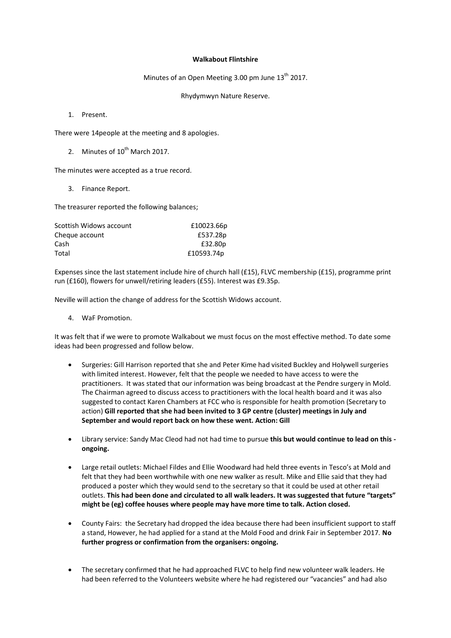## **Walkabout Flintshire**

Minutes of an Open Meeting 3.00 pm June  $13<sup>th</sup>$  2017.

Rhydymwyn Nature Reserve.

1. Present.

There were 14people at the meeting and 8 apologies.

2. Minutes of  $10^{th}$  March 2017.

The minutes were accepted as a true record.

3. Finance Report.

The treasurer reported the following balances;

| Scottish Widows account | £10023.66p |
|-------------------------|------------|
| Cheque account          | £537.28p   |
| Cash                    | £32.80p    |
| Total                   | £10593.74p |

Expenses since the last statement include hire of church hall (£15), FLVC membership (£15), programme print run (£160), flowers for unwell/retiring leaders (£55). Interest was £9.35p.

Neville will action the change of address for the Scottish Widows account.

4. WaF Promotion.

It was felt that if we were to promote Walkabout we must focus on the most effective method. To date some ideas had been progressed and follow below.

- Surgeries: Gill Harrison reported that she and Peter Kime had visited Buckley and Holywell surgeries with limited interest. However, felt that the people we needed to have access to were the practitioners. It was stated that our information was being broadcast at the Pendre surgery in Mold. The Chairman agreed to discuss access to practitioners with the local health board and it was also suggested to contact Karen Chambers at FCC who is responsible for health promotion (Secretary to action) **Gill reported that she had been invited to 3 GP centre (cluster) meetings in July and September and would report back on how these went. Action: Gill**
- Library service: Sandy Mac Cleod had not had time to pursue **this but would continue to lead on this ongoing.**
- Large retail outlets: Michael Fildes and Ellie Woodward had held three events in Tesco's at Mold and felt that they had been worthwhile with one new walker as result. Mike and Ellie said that they had produced a poster which they would send to the secretary so that it could be used at other retail outlets. **This had been done and circulated to all walk leaders. It was suggested that future "targets" might be (eg) coffee houses where people may have more time to talk. Action closed.**
- County Fairs: the Secretary had dropped the idea because there had been insufficient support to staff a stand, However, he had applied for a stand at the Mold Food and drink Fair in September 2017. **No further progress or confirmation from the organisers: ongoing.**
- The secretary confirmed that he had approached FLVC to help find new volunteer walk leaders. He had been referred to the Volunteers website where he had registered our "vacancies" and had also